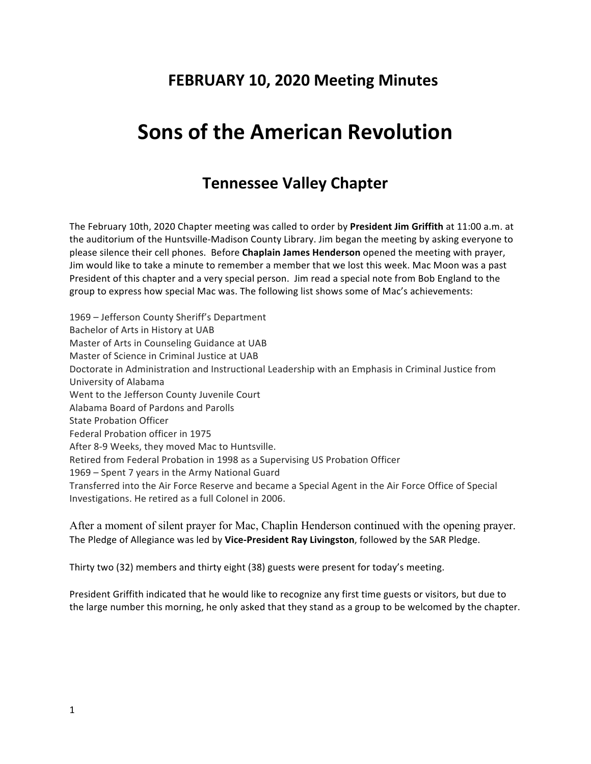# **FEBRUARY 10, 2020 Meeting Minutes**

# **Sons of the American Revolution**

## **Tennessee Valley Chapter**

The February 10th, 2020 Chapter meeting was called to order by President Jim Griffith at 11:00 a.m. at the auditorium of the Huntsville-Madison County Library. Jim began the meeting by asking everyone to please silence their cell phones. Before *Chaplain James Henderson* opened the meeting with prayer, Jim would like to take a minute to remember a member that we lost this week. Mac Moon was a past President of this chapter and a very special person. Jim read a special note from Bob England to the group to express how special Mac was. The following list shows some of Mac's achievements:

1969 - Jefferson County Sheriff's Department Bachelor of Arts in History at UAB Master of Arts in Counseling Guidance at UAB Master of Science in Criminal Justice at UAB Doctorate in Administration and Instructional Leadership with an Emphasis in Criminal Justice from University of Alabama Went to the Jefferson County Juvenile Court Alabama Board of Pardons and Parolls State Probation Officer Federal Probation officer in 1975 After 8-9 Weeks, they moved Mac to Huntsville. Retired from Federal Probation in 1998 as a Supervising US Probation Officer 1969 – Spent 7 years in the Army National Guard Transferred into the Air Force Reserve and became a Special Agent in the Air Force Office of Special Investigations. He retired as a full Colonel in 2006.

After a moment of silent prayer for Mac, Chaplin Henderson continued with the opening prayer. The Pledge of Allegiance was led by Vice-President Ray Livingston, followed by the SAR Pledge.

Thirty two (32) members and thirty eight (38) guests were present for today's meeting.

President Griffith indicated that he would like to recognize any first time guests or visitors, but due to the large number this morning, he only asked that they stand as a group to be welcomed by the chapter.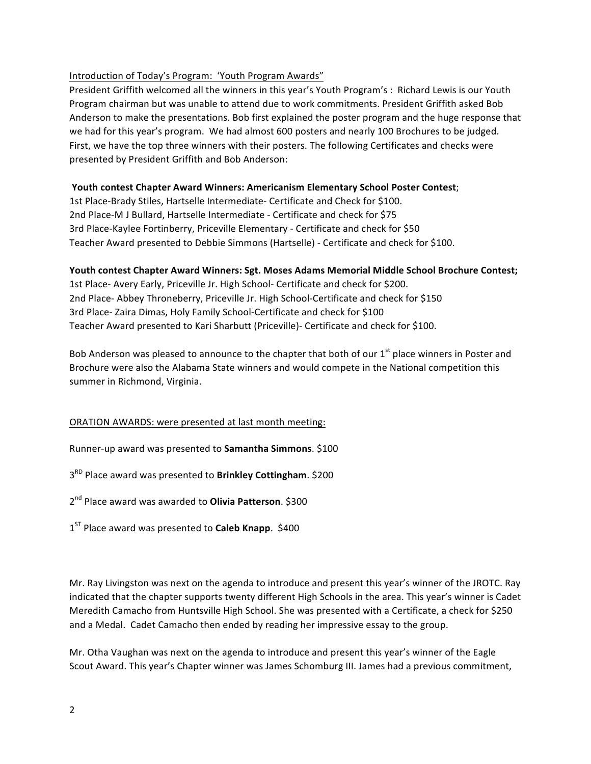#### Introduction of Today's Program: 'Youth Program Awards"

President Griffith welcomed all the winners in this year's Youth Program's: Richard Lewis is our Youth Program chairman but was unable to attend due to work commitments. President Griffith asked Bob Anderson to make the presentations. Bob first explained the poster program and the huge response that we had for this year's program. We had almost 600 posters and nearly 100 Brochures to be judged. First, we have the top three winners with their posters. The following Certificates and checks were presented by President Griffith and Bob Anderson:

#### **Youth contest Chapter Award Winners: Americanism Elementary School Poster Contest;**

1st Place-Brady Stiles, Hartselle Intermediate- Certificate and Check for \$100. 2nd Place-M J Bullard, Hartselle Intermediate - Certificate and check for \$75 3rd Place-Kaylee Fortinberry, Priceville Elementary - Certificate and check for \$50 Teacher Award presented to Debbie Simmons (Hartselle) - Certificate and check for \$100.

#### Youth contest Chapter Award Winners: Sgt. Moses Adams Memorial Middle School Brochure Contest;

1st Place- Avery Early, Priceville Jr. High School- Certificate and check for \$200. 2nd Place- Abbey Throneberry, Priceville Jr. High School-Certificate and check for \$150 3rd Place- Zaira Dimas, Holy Family School-Certificate and check for \$100 Teacher Award presented to Kari Sharbutt (Priceville)- Certificate and check for \$100.

Bob Anderson was pleased to announce to the chapter that both of our  $1<sup>st</sup>$  place winners in Poster and Brochure were also the Alabama State winners and would compete in the National competition this summer in Richmond, Virginia.

#### ORATION AWARDS: were presented at last month meeting:

Runner-up award was presented to **Samantha Simmons**. \$100

 $3<sup>RD</sup>$  Place award was presented to **Brinkley Cottingham**. \$200

 $2<sup>nd</sup>$  Place award was awarded to **Olivia Patterson**. \$300

 $1<sup>ST</sup>$  Place award was presented to **Caleb Knapp**. \$400

Mr. Ray Livingston was next on the agenda to introduce and present this year's winner of the JROTC. Ray indicated that the chapter supports twenty different High Schools in the area. This year's winner is Cadet Meredith Camacho from Huntsville High School. She was presented with a Certificate, a check for \$250 and a Medal. Cadet Camacho then ended by reading her impressive essay to the group.

Mr. Otha Vaughan was next on the agenda to introduce and present this year's winner of the Eagle Scout Award. This year's Chapter winner was James Schomburg III. James had a previous commitment,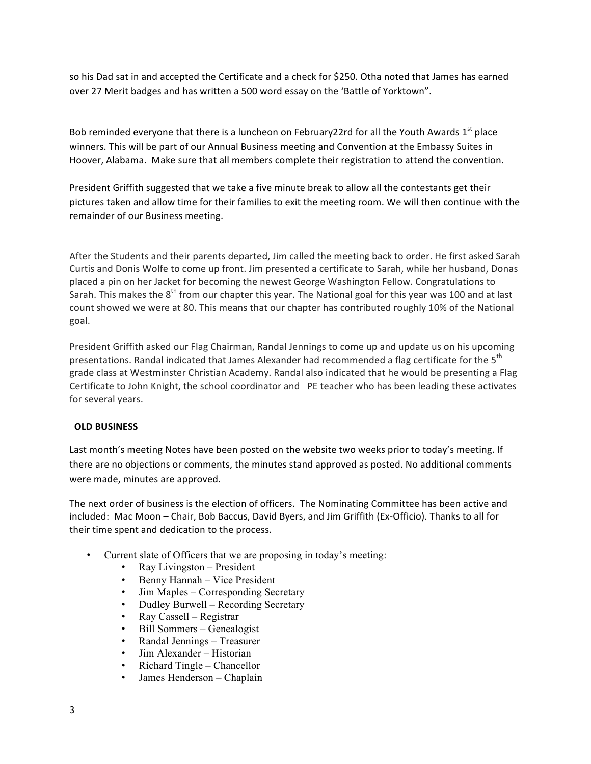so his Dad sat in and accepted the Certificate and a check for \$250. Otha noted that James has earned over 27 Merit badges and has written a 500 word essay on the 'Battle of Yorktown".

Bob reminded everyone that there is a luncheon on February22rd for all the Youth Awards  $1<sup>st</sup>$  place winners. This will be part of our Annual Business meeting and Convention at the Embassy Suites in Hoover, Alabama. Make sure that all members complete their registration to attend the convention.

President Griffith suggested that we take a five minute break to allow all the contestants get their pictures taken and allow time for their families to exit the meeting room. We will then continue with the remainder of our Business meeting.

After the Students and their parents departed, Jim called the meeting back to order. He first asked Sarah Curtis and Donis Wolfe to come up front. Jim presented a certificate to Sarah, while her husband, Donas placed a pin on her Jacket for becoming the newest George Washington Fellow. Congratulations to Sarah. This makes the  $8^{th}$  from our chapter this year. The National goal for this year was 100 and at last count showed we were at 80. This means that our chapter has contributed roughly 10% of the National goal. 

President Griffith asked our Flag Chairman, Randal Jennings to come up and update us on his upcoming presentations. Randal indicated that James Alexander had recommended a flag certificate for the 5<sup>th</sup> grade class at Westminster Christian Academy. Randal also indicated that he would be presenting a Flag Certificate to John Knight, the school coordinator and PE teacher who has been leading these activates for several years.

#### **OLD BUSINESS**

Last month's meeting Notes have been posted on the website two weeks prior to today's meeting. If there are no objections or comments, the minutes stand approved as posted. No additional comments were made, minutes are approved.

The next order of business is the election of officers. The Nominating Committee has been active and included: Mac Moon – Chair, Bob Baccus, David Byers, and Jim Griffith (Ex-Officio). Thanks to all for their time spent and dedication to the process.

- Current slate of Officers that we are proposing in today's meeting:
	- Ray Livingston President
	- Benny Hannah Vice President
	- Jim Maples Corresponding Secretary
	- Dudley Burwell Recording Secretary
	- Ray Cassell Registrar
	- Bill Sommers Genealogist
	- Randal Jennings Treasurer
	- Jim Alexander Historian
	- Richard Tingle Chancellor
	- James Henderson Chaplain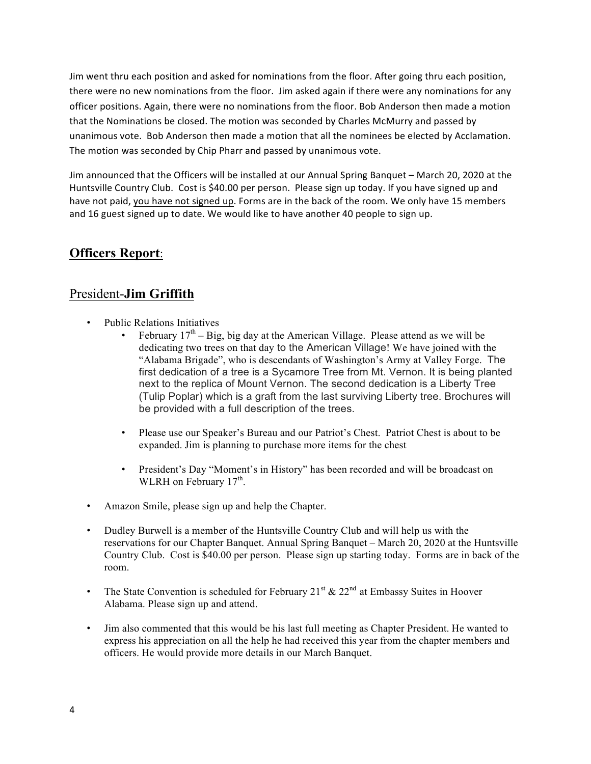Jim went thru each position and asked for nominations from the floor. After going thru each position, there were no new nominations from the floor. Jim asked again if there were any nominations for any officer positions. Again, there were no nominations from the floor. Bob Anderson then made a motion that the Nominations be closed. The motion was seconded by Charles McMurry and passed by unanimous vote. Bob Anderson then made a motion that all the nominees be elected by Acclamation. The motion was seconded by Chip Pharr and passed by unanimous vote.

Jim announced that the Officers will be installed at our Annual Spring Banquet - March 20, 2020 at the Huntsville Country Club. Cost is \$40.00 per person. Please sign up today. If you have signed up and have not paid, you have not signed up. Forms are in the back of the room. We only have 15 members and 16 guest signed up to date. We would like to have another 40 people to sign up.

## **Officers Report**:

## President-**Jim Griffith**

- Public Relations Initiatives
	- February  $17<sup>th</sup> Big$ , big day at the American Village. Please attend as we will be dedicating two trees on that day to the American Village! We have joined with the "Alabama Brigade", who is descendants of Washington's Army at Valley Forge. The first dedication of a tree is a Sycamore Tree from Mt. Vernon. It is being planted next to the replica of Mount Vernon. The second dedication is a Liberty Tree (Tulip Poplar) which is a graft from the last surviving Liberty tree. Brochures will be provided with a full description of the trees.
	- Please use our Speaker's Bureau and our Patriot's Chest. Patriot Chest is about to be expanded. Jim is planning to purchase more items for the chest
	- President's Day "Moment's in History" has been recorded and will be broadcast on WLRH on February  $17<sup>th</sup>$ .
- Amazon Smile, please sign up and help the Chapter.
- Dudley Burwell is a member of the Huntsville Country Club and will help us with the reservations for our Chapter Banquet. Annual Spring Banquet – March 20, 2020 at the Huntsville Country Club. Cost is \$40.00 per person. Please sign up starting today. Forms are in back of the room.
- The State Convention is scheduled for February 21<sup>st</sup>  $\&$  22<sup>nd</sup> at Embassy Suites in Hoover Alabama. Please sign up and attend.
- Jim also commented that this would be his last full meeting as Chapter President. He wanted to express his appreciation on all the help he had received this year from the chapter members and officers. He would provide more details in our March Banquet.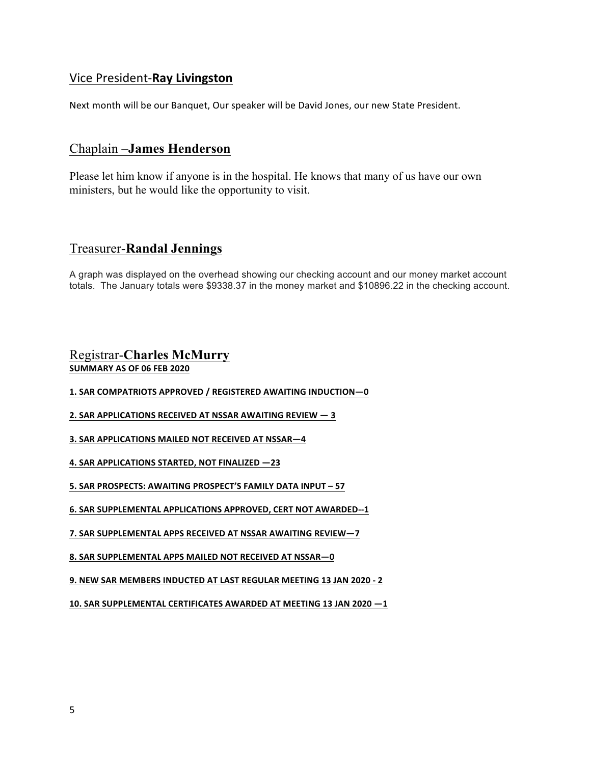#### Vice President-**Ray Livingston**

Next month will be our Banquet, Our speaker will be David Jones, our new State President.

## Chaplain –**James Henderson**

Please let him know if anyone is in the hospital. He knows that many of us have our own ministers, but he would like the opportunity to visit.

## Treasurer-**Randal Jennings**

A graph was displayed on the overhead showing our checking account and our money market account totals. The January totals were \$9338.37 in the money market and \$10896.22 in the checking account.

#### Registrar-**Charles McMurry SUMMARY AS OF 06 FEB 2020**

**1. SAR COMPATRIOTS APPROVED / REGISTERED AWAITING INDUCTION—0**

**2. SAR APPLICATIONS RECEIVED AT NSSAR AWAITING REVIEW**  $- 3$ 

**3. SAR APPLICATIONS MAILED NOT RECEIVED AT NSSAR-4** 

**4. SAR APPLICATIONS STARTED, NOT FINALIZED —23**

**5. SAR PROSPECTS: AWAITING PROSPECT'S FAMILY DATA INPUT - 57** 

**6. SAR SUPPLEMENTAL APPLICATIONS APPROVED, CERT NOT AWARDED--1** 

**7. SAR SUPPLEMENTAL APPS RECEIVED AT NSSAR AWAITING REVIEW-7** 

**8. SAR SUPPLEMENTAL APPS MAILED NOT RECEIVED AT NSSAR-0** 

**9. NEW SAR MEMBERS INDUCTED AT LAST REGULAR MEETING 13 JAN 2020 - 2**

10. SAR SUPPLEMENTAL CERTIFICATES AWARDED AT MEETING 13 JAN 2020 -1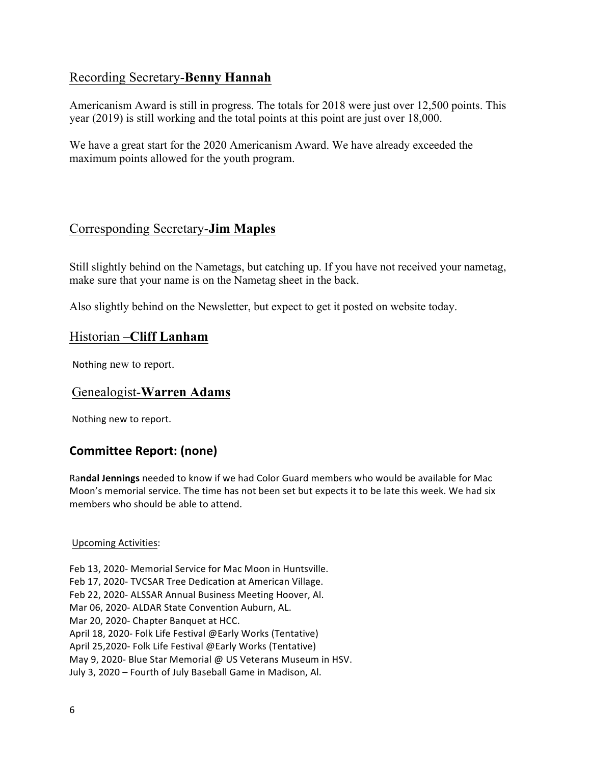## Recording Secretary-**Benny Hannah**

Americanism Award is still in progress. The totals for 2018 were just over 12,500 points. This year (2019) is still working and the total points at this point are just over 18,000.

We have a great start for the 2020 Americanism Award. We have already exceeded the maximum points allowed for the youth program.

## Corresponding Secretary-**Jim Maples**

Still slightly behind on the Nametags, but catching up. If you have not received your nametag, make sure that your name is on the Nametag sheet in the back.

Also slightly behind on the Newsletter, but expect to get it posted on website today.

#### Historian –**Cliff Lanham**

Nothing new to report.

## Genealogist-**Warren Adams**

Nothing new to report.

## **Committee Report: (none)**

Randal Jennings needed to know if we had Color Guard members who would be available for Mac Moon's memorial service. The time has not been set but expects it to be late this week. We had six members who should be able to attend.

#### Upcoming Activities:

Feb 13, 2020- Memorial Service for Mac Moon in Huntsville. Feb 17, 2020- TVCSAR Tree Dedication at American Village. Feb 22, 2020- ALSSAR Annual Business Meeting Hoover, Al. Mar 06, 2020- ALDAR State Convention Auburn, AL. Mar 20, 2020- Chapter Banquet at HCC. April 18, 2020- Folk Life Festival @Early Works (Tentative) April 25,2020- Folk Life Festival @Early Works (Tentative) May 9, 2020- Blue Star Memorial @ US Veterans Museum in HSV. July 3, 2020 – Fourth of July Baseball Game in Madison, Al.